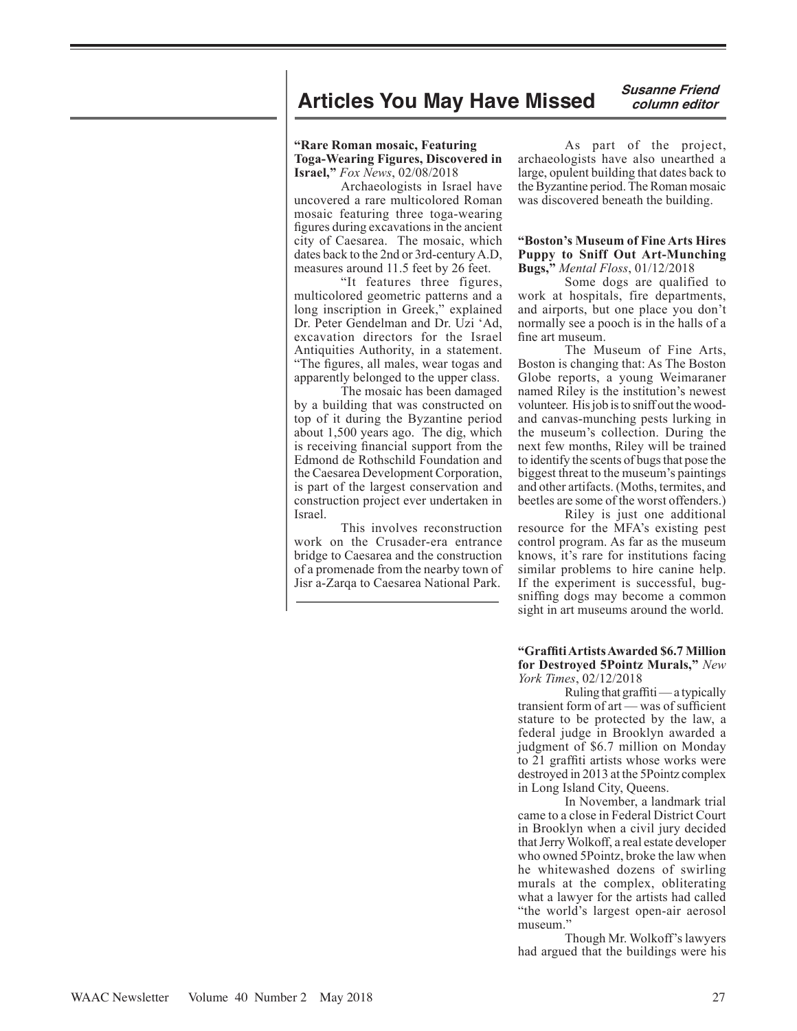# **Articles You May Have Missed** *Susanne Friend*

 **column editor**

## **"Rare Roman mosaic, Featuring Toga-Wearing Figures, Discovered in Israel,"** *Fox News*, 02/08/2018

Archaeologists in Israel have uncovered a rare multicolored Roman mosaic featuring three toga-wearing figures during excavations in the ancient city of Caesarea. The mosaic, which dates back to the 2nd or 3rd-century A.D, measures around 11.5 feet by 26 feet.

"It features three figures, multicolored geometric patterns and a long inscription in Greek," explained Dr. Peter Gendelman and Dr. Uzi 'Ad, excavation directors for the Israel Antiquities Authority, in a statement. "The figures, all males, wear togas and apparently belonged to the upper class.

The mosaic has been damaged by a building that was constructed on top of it during the Byzantine period about 1,500 years ago. The dig, which is receiving financial support from the Edmond de Rothschild Foundation and the Caesarea Development Corporation, is part of the largest conservation and construction project ever undertaken in Israel.

This involves reconstruction work on the Crusader-era entrance bridge to Caesarea and the construction of a promenade from the nearby town of Jisr a-Zarqa to Caesarea National Park.

As part of the project, archaeologists have also unearthed a large, opulent building that dates back to the Byzantine period. The Roman mosaic was discovered beneath the building.

## **"Boston's Museum of Fine Arts Hires Puppy to Sniff Out Art-Munching Bugs,"** *Mental Floss*, 01/12/2018

Some dogs are qualified to work at hospitals, fire departments, and airports, but one place you don't normally see a pooch is in the halls of a fine art museum.

The Museum of Fine Arts, Boston is changing that: As The Boston Globe reports, a young Weimaraner named Riley is the institution's newest volunteer. His job is to sniff out the woodand canvas-munching pests lurking in the museum's collection. During the next few months, Riley will be trained to identify the scents of bugs that pose the biggest threat to the museum's paintings and other artifacts. (Moths, termites, and beetles are some of the worst offenders.)

Riley is just one additional resource for the MFA's existing pest control program. As far as the museum knows, it's rare for institutions facing similar problems to hire canine help. If the experiment is successful, bugsniffing dogs may become a common sight in art museums around the world.

## **"Graffiti Artists Awarded \$6.7 Million for Destroyed 5Pointz Murals,"** *New York Times*, 02/12/2018

Ruling that graffiti — a typically transient form of art — was of sufficient stature to be protected by the law, a federal judge in Brooklyn awarded a judgment of \$6.7 million on Monday to 21 graffiti artists whose works were destroyed in 2013 at the 5Pointz complex in Long Island City, Queens.

In November, a landmark trial came to a close in Federal District Court in Brooklyn when a civil jury decided that Jerry Wolkoff, a real estate developer who owned 5Pointz, broke the law when he whitewashed dozens of swirling murals at the complex, obliterating what a lawyer for the artists had called "the world's largest open-air aerosol museum."

Though Mr. Wolkoff's lawyers had argued that the buildings were his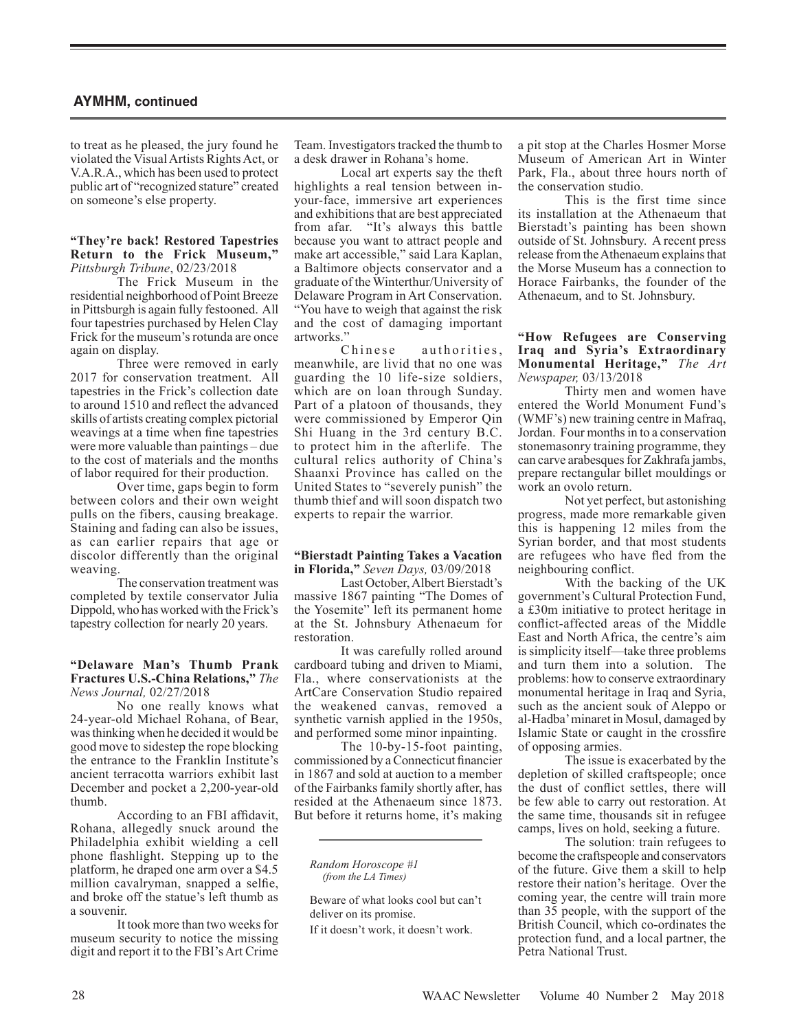to treat as he pleased, the jury found he violated the Visual Artists Rights Act, or V.A.R.A., which has been used to protect public art of "recognized stature" created on someone's else property.

## **"They're back! Restored Tapestries Return to the Frick Museum,"**  *Pittsburgh Tribune*, 02/23/2018

The Frick Museum in the residential neighborhood of Point Breeze in Pittsburgh is again fully festooned. All four tapestries purchased by Helen Clay Frick for the museum's rotunda are once again on display.

Three were removed in early 2017 for conservation treatment. All tapestries in the Frick's collection date to around 1510 and reflect the advanced skills of artists creating complex pictorial weavings at a time when fine tapestries were more valuable than paintings – due to the cost of materials and the months of labor required for their production.

Over time, gaps begin to form between colors and their own weight pulls on the fibers, causing breakage. Staining and fading can also be issues, as can earlier repairs that age or discolor differently than the original weaving.

The conservation treatment was completed by textile conservator Julia Dippold, who has worked with the Frick's tapestry collection for nearly 20 years.

## **"Delaware Man's Thumb Prank Fractures U.S.-China Relations,"** *The News Journal,* 02/27/2018

No one really knows what 24-year-old Michael Rohana, of Bear, was thinking when he decided it would be good move to sidestep the rope blocking the entrance to the Franklin Institute's ancient terracotta warriors exhibit last December and pocket a 2,200-year-old thumb.

According to an FBI affidavit, Rohana, allegedly snuck around the Philadelphia exhibit wielding a cell phone flashlight. Stepping up to the platform, he draped one arm over a \$4.5 million cavalryman, snapped a selfie, and broke off the statue's left thumb as a souvenir.

It took more than two weeks for museum security to notice the missing digit and report it to the FBI's Art Crime

Team. Investigators tracked the thumb to a desk drawer in Rohana's home.

Local art experts say the theft highlights a real tension between inyour-face, immersive art experiences and exhibitions that are best appreciated from afar. "It's always this battle because you want to attract people and make art accessible," said Lara Kaplan, a Baltimore objects conservator and a graduate of the Winterthur/University of Delaware Program in Art Conservation. "You have to weigh that against the risk and the cost of damaging important artworks."

authorities, meanwhile, are livid that no one was guarding the 10 life-size soldiers, which are on loan through Sunday. Part of a platoon of thousands, they were commissioned by Emperor Qin Shi Huang in the 3rd century B.C. to protect him in the afterlife. The cultural relics authority of China's Shaanxi Province has called on the United States to "severely punish" the thumb thief and will soon dispatch two experts to repair the warrior.

### **"Bierstadt Painting Takes a Vacation in Florida,"** *Seven Days,* 03/09/2018

Last October, Albert Bierstadt's massive 1867 painting "The Domes of the Yosemite" left its permanent home at the St. Johnsbury Athenaeum for restoration.

It was carefully rolled around cardboard tubing and driven to Miami, Fla., where conservationists at the ArtCare Conservation Studio repaired the weakened canvas, removed a synthetic varnish applied in the 1950s, and performed some minor inpainting.

The 10-by-15-foot painting, commissioned by a Connecticut financier in 1867 and sold at auction to a member of the Fairbanks family shortly after, has resided at the Athenaeum since 1873. But before it returns home, it's making

*Random Horoscope #1 (from the LA Times)*

Beware of what looks cool but can't deliver on its promise.

If it doesn't work, it doesn't work.

a pit stop at the Charles Hosmer Morse Museum of American Art in Winter Park, Fla., about three hours north of the conservation studio.

This is the first time since its installation at the Athenaeum that Bierstadt's painting has been shown outside of St. Johnsbury. A recent press release from the Athenaeum explains that the Morse Museum has a connection to Horace Fairbanks, the founder of the Athenaeum, and to St. Johnsbury.

## **"How Refugees are Conserving Iraq and Syria's Extraordinary Monumental Heritage,"** *The Art Newspaper,* 03/13/2018

Thirty men and women have entered the World Monument Fund's (WMF's) new training centre in Mafraq, Jordan. Four months in to a conservation stonemasonry training programme, they can carve arabesques for Zakhrafa jambs, prepare rectangular billet mouldings or work an ovolo return.

Not yet perfect, but astonishing progress, made more remarkable given this is happening 12 miles from the Syrian border, and that most students are refugees who have fled from the neighbouring conflict.

With the backing of the UK government's Cultural Protection Fund, a £30m initiative to protect heritage in conflict-affected areas of the Middle East and North Africa, the centre's aim is simplicity itself—take three problems and turn them into a solution. The problems: how to conserve extraordinary monumental heritage in Iraq and Syria, such as the ancient souk of Aleppo or al-Hadba' minaret in Mosul, damaged by Islamic State or caught in the crossfire of opposing armies.

The issue is exacerbated by the depletion of skilled craftspeople; once the dust of conflict settles, there will be few able to carry out restoration. At the same time, thousands sit in refugee camps, lives on hold, seeking a future.

The solution: train refugees to become the craftspeople and conservators of the future. Give them a skill to help restore their nation's heritage. Over the coming year, the centre will train more than 35 people, with the support of the British Council, which co-ordinates the protection fund, and a local partner, the Petra National Trust.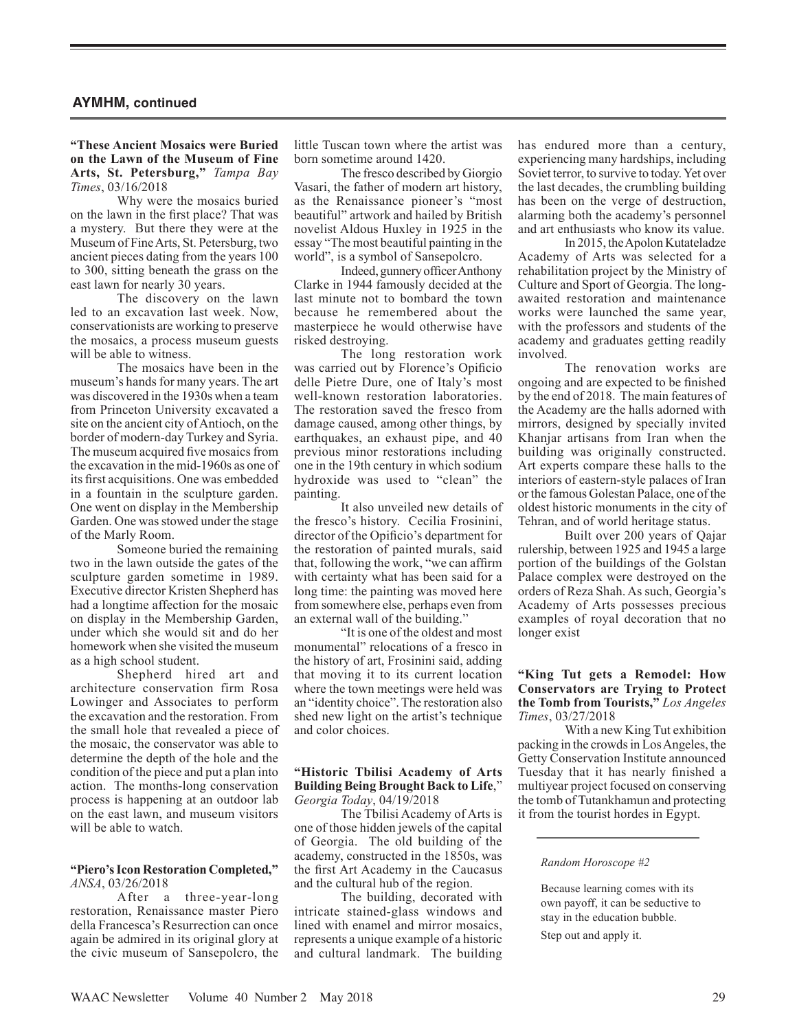## **"These Ancient Mosaics were Buried on the Lawn of the Museum of Fine Arts, St. Petersburg,"** *Tampa Bay Times*, 03/16/2018

Why were the mosaics buried on the lawn in the first place? That was a mystery. But there they were at the Museum of Fine Arts, St. Petersburg, two ancient pieces dating from the years 100 to 300, sitting beneath the grass on the east lawn for nearly 30 years.

The discovery on the lawn led to an excavation last week. Now, conservationists are working to preserve the mosaics, a process museum guests will be able to witness.

The mosaics have been in the museum's hands for many years. The art was discovered in the 1930s when a team from Princeton University excavated a site on the ancient city of Antioch, on the border of modern-day Turkey and Syria. The museum acquired five mosaics from the excavation in the mid-1960s as one of its first acquisitions. One was embedded in a fountain in the sculpture garden. One went on display in the Membership Garden. One was stowed under the stage of the Marly Room.

Someone buried the remaining two in the lawn outside the gates of the sculpture garden sometime in 1989. Executive director Kristen Shepherd has had a longtime affection for the mosaic on display in the Membership Garden, under which she would sit and do her homework when she visited the museum as a high school student.

Shepherd hired art and architecture conservation firm Rosa Lowinger and Associates to perform the excavation and the restoration. From the small hole that revealed a piece of the mosaic, the conservator was able to determine the depth of the hole and the condition of the piece and put a plan into action. The months-long conservation process is happening at an outdoor lab on the east lawn, and museum visitors will be able to watch.

#### **"Piero's Icon Restoration Completed,"** *ANSA*, 03/26/2018

After a three-year-long restoration, Renaissance master Piero della Francesca's Resurrection can once again be admired in its original glory at the civic museum of Sansepolcro, the

little Tuscan town where the artist was born sometime around 1420.

The fresco described by Giorgio Vasari, the father of modern art history, as the Renaissance pioneer's "most beautiful" artwork and hailed by British novelist Aldous Huxley in 1925 in the essay "The most beautiful painting in the world", is a symbol of Sansepolcro.

Indeed, gunnery officer Anthony Clarke in 1944 famously decided at the last minute not to bombard the town because he remembered about the masterpiece he would otherwise have risked destroying.

The long restoration work was carried out by Florence's Opificio delle Pietre Dure, one of Italy's most well-known restoration laboratories. The restoration saved the fresco from damage caused, among other things, by earthquakes, an exhaust pipe, and 40 previous minor restorations including one in the 19th century in which sodium hydroxide was used to "clean" the painting.

It also unveiled new details of the fresco's history. Cecilia Frosinini, director of the Opificio's department for the restoration of painted murals, said that, following the work, "we can affirm with certainty what has been said for a long time: the painting was moved here from somewhere else, perhaps even from an external wall of the building."

"It is one of the oldest and most monumental" relocations of a fresco in the history of art, Frosinini said, adding that moving it to its current location where the town meetings were held was an "identity choice". The restoration also shed new light on the artist's technique and color choices.

### **"Historic Tbilisi Academy of Arts Building Being Brought Back to Life**," *Georgia Today*, 04/19/2018

The Tbilisi Academy of Arts is one of those hidden jewels of the capital of Georgia. The old building of the academy, constructed in the 1850s, was the first Art Academy in the Caucasus and the cultural hub of the region.

The building, decorated with intricate stained-glass windows and lined with enamel and mirror mosaics, represents a unique example of a historic and cultural landmark. The building has endured more than a century, experiencing many hardships, including Soviet terror, to survive to today. Yet over the last decades, the crumbling building has been on the verge of destruction, alarming both the academy's personnel and art enthusiasts who know its value.

In 2015, the Apolon Kutateladze Academy of Arts was selected for a rehabilitation project by the Ministry of Culture and Sport of Georgia. The longawaited restoration and maintenance works were launched the same year, with the professors and students of the academy and graduates getting readily involved.

The renovation works are ongoing and are expected to be finished by the end of 2018. The main features of the Academy are the halls adorned with mirrors, designed by specially invited Khanjar artisans from Iran when the building was originally constructed. Art experts compare these halls to the interiors of eastern-style palaces of Iran or the famous Golestan Palace, one of the oldest historic monuments in the city of Tehran, and of world heritage status.

Built over 200 years of Qajar rulership, between 1925 and 1945 a large portion of the buildings of the Golstan Palace complex were destroyed on the orders of Reza Shah. As such, Georgia's Academy of Arts possesses precious examples of royal decoration that no longer exist

## **"King Tut gets a Remodel: How Conservators are Trying to Protect the Tomb from Tourists,"** *Los Angeles Times*, 03/27/2018

With a new King Tut exhibition packing in the crowds in Los Angeles, the Getty Conservation Institute announced Tuesday that it has nearly finished a multiyear project focused on conserving the tomb of Tutankhamun and protecting it from the tourist hordes in Egypt.

#### *Random Horoscope #2*

Because learning comes with its own payoff, it can be seductive to stay in the education bubble. Step out and apply it.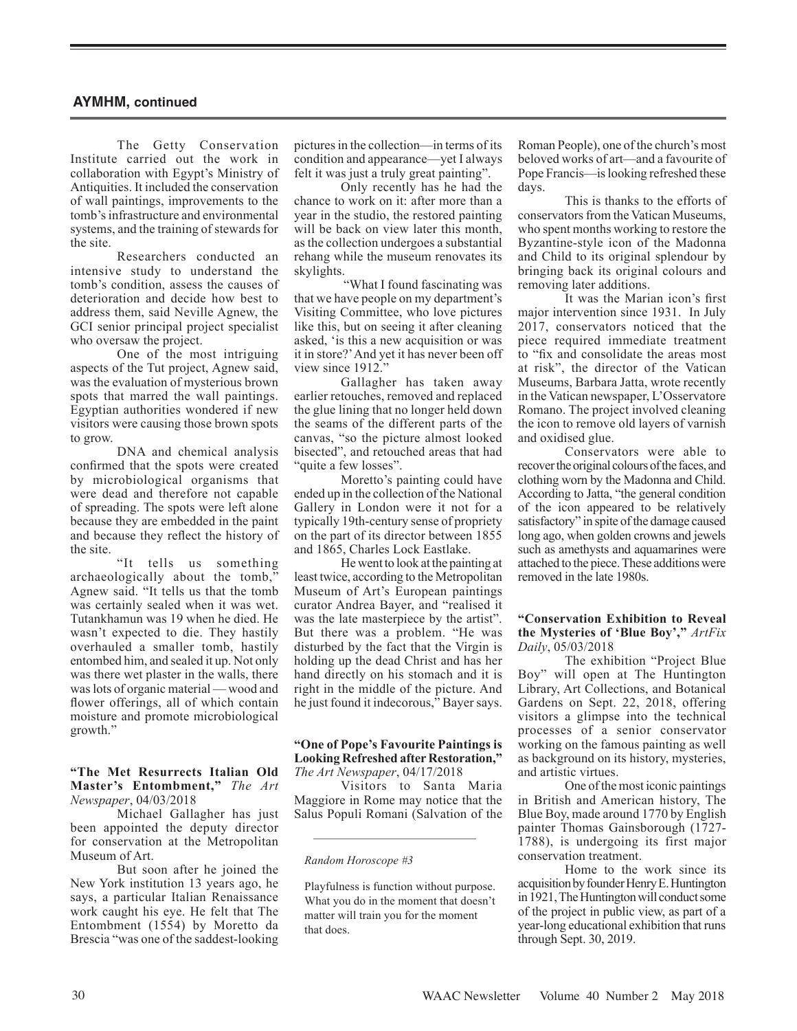The Getty Conservation Institute carried out the work in collaboration with Egypt's Ministry of Antiquities. It included the conservation of wall paintings, improvements to the tomb's infrastructure and environmental systems, and the training of stewards for the site.

Researchers conducted an intensive study to understand the tomb's condition, assess the causes of deterioration and decide how best to address them, said Neville Agnew, the GCI senior principal project specialist who oversaw the project.

One of the most intriguing aspects of the Tut project, Agnew said, was the evaluation of mysterious brown spots that marred the wall paintings. Egyptian authorities wondered if new visitors were causing those brown spots to grow.

DNA and chemical analysis confirmed that the spots were created by microbiological organisms that were dead and therefore not capable of spreading. The spots were left alone because they are embedded in the paint and because they reflect the history of the site.

"It tells us something archaeologically about the tomb," Agnew said. "It tells us that the tomb was certainly sealed when it was wet. Tutankhamun was 19 when he died. He wasn't expected to die. They hastily overhauled a smaller tomb, hastily entombed him, and sealed it up. Not only was there wet plaster in the walls, there was lots of organic material — wood and flower offerings, all of which contain moisture and promote microbiological growth."

**"The Met Resurrects Italian Old Master's Entombment,"** *The Art Newspaper*, 04/03/2018

Michael Gallagher has just been appointed the deputy director for conservation at the Metropolitan Museum of Art.

But soon after he joined the New York institution 13 years ago, he says, a particular Italian Renaissance work caught his eye. He felt that The Entombment (1554) by Moretto da Brescia "was one of the saddest-looking

pictures in the collection—in terms of its condition and appearance—yet I always felt it was just a truly great painting".

Only recently has he had the chance to work on it: after more than a year in the studio, the restored painting will be back on view later this month, as the collection undergoes a substantial rehang while the museum renovates its skylights.

 "What I found fascinating was that we have people on my department's Visiting Committee, who love pictures like this, but on seeing it after cleaning asked, 'is this a new acquisition or was it in store?' And yet it has never been off view since 1912."

Gallagher has taken away earlier retouches, removed and replaced the glue lining that no longer held down the seams of the different parts of the canvas, "so the picture almost looked bisected", and retouched areas that had "quite a few losses".

Moretto's painting could have ended up in the collection of the National Gallery in London were it not for a typically 19th-century sense of propriety on the part of its director between 1855 and 1865, Charles Lock Eastlake.

He went to look at the painting at least twice, according to the Metropolitan Museum of Art's European paintings curator Andrea Bayer, and "realised it was the late masterpiece by the artist". But there was a problem. "He was disturbed by the fact that the Virgin is holding up the dead Christ and has her hand directly on his stomach and it is right in the middle of the picture. And he just found it indecorous," Bayer says.

## **"One of Pope's Favourite Paintings is Looking Refreshed after Restoration,"** *The Art Newspaper*, 04/17/2018

Visitors to Santa Maria Maggiore in Rome may notice that the Salus Populi Romani (Salvation of the Roman People), one of the church's most beloved works of art—and a favourite of Pope Francis—is looking refreshed these days.

This is thanks to the efforts of conservators from the Vatican Museums, who spent months working to restore the Byzantine-style icon of the Madonna and Child to its original splendour by bringing back its original colours and removing later additions.

It was the Marian icon's first major intervention since 1931. In July 2017, conservators noticed that the piece required immediate treatment to "fix and consolidate the areas most at risk", the director of the Vatican Museums, Barbara Jatta, wrote recently in the Vatican newspaper, L'Osservatore Romano. The project involved cleaning the icon to remove old layers of varnish and oxidised glue.

Conservators were able to recover the original colours of the faces, and clothing worn by the Madonna and Child. According to Jatta, "the general condition of the icon appeared to be relatively satisfactory" in spite of the damage caused long ago, when golden crowns and jewels such as amethysts and aquamarines were attached to the piece. These additions were removed in the late 1980s.

## **"Conservation Exhibition to Reveal the Mysteries of 'Blue Boy',"** *ArtFix Daily*, 05/03/2018

The exhibition "Project Blue Boy" will open at The Huntington Library, Art Collections, and Botanical Gardens on Sept. 22, 2018, offering visitors a glimpse into the technical processes of a senior conservator working on the famous painting as well as background on its history, mysteries, and artistic virtues.

One of the most iconic paintings in British and American history, The Blue Boy, made around 1770 by English painter Thomas Gainsborough (1727- 1788), is undergoing its first major conservation treatment.

Home to the work since its acquisition by founder Henry E. Huntington in 1921, The Huntington will conduct some of the project in public view, as part of a year-long educational exhibition that runs through Sept. 30, 2019.

*Random Horoscope #3*

Playfulness is function without purpose. What you do in the moment that doesn't matter will train you for the moment that does.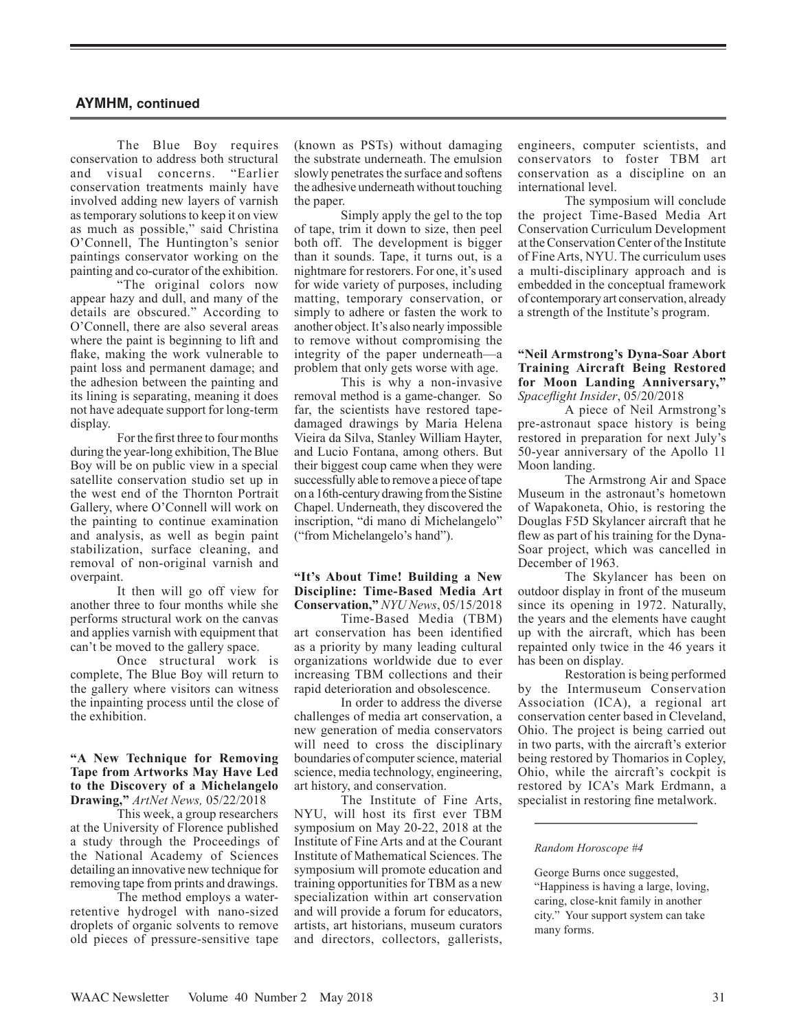The Blue Boy requires conservation to address both structural<br>and visual concerns "Earlier" and visual concerns. conservation treatments mainly have involved adding new layers of varnish as temporary solutions to keep it on view as much as possible," said Christina O'Connell, The Huntington's senior paintings conservator working on the painting and co-curator of the exhibition.

"The original colors now appear hazy and dull, and many of the details are obscured." According to O'Connell, there are also several areas where the paint is beginning to lift and flake, making the work vulnerable to paint loss and permanent damage; and the adhesion between the painting and its lining is separating, meaning it does not have adequate support for long-term display.

For the first three to four months during the year-long exhibition, The Blue Boy will be on public view in a special satellite conservation studio set up in the west end of the Thornton Portrait Gallery, where O'Connell will work on the painting to continue examination and analysis, as well as begin paint stabilization, surface cleaning, and removal of non-original varnish and overpaint.

It then will go off view for another three to four months while she performs structural work on the canvas and applies varnish with equipment that can't be moved to the gallery space.

Once structural work is complete, The Blue Boy will return to the gallery where visitors can witness the inpainting process until the close of the exhibition.

## **"A New Technique for Removing Tape from Artworks May Have Led to the Discovery of a Michelangelo Drawing,"** *ArtNet News,* 05/22/2018

This week, a group researchers at the University of Florence published a study through the Proceedings of the National Academy of Sciences detailing an innovative new technique for removing tape from prints and drawings.

The method employs a waterretentive hydrogel with nano-sized droplets of organic solvents to remove old pieces of pressure-sensitive tape (known as PSTs) without damaging the substrate underneath. The emulsion slowly penetrates the surface and softens the adhesive underneath without touching the paper.

Simply apply the gel to the top of tape, trim it down to size, then peel both off. The development is bigger than it sounds. Tape, it turns out, is a nightmare for restorers. For one, it's used for wide variety of purposes, including matting, temporary conservation, or simply to adhere or fasten the work to another object. It's also nearly impossible to remove without compromising the integrity of the paper underneath—a problem that only gets worse with age.

This is why a non-invasive removal method is a game-changer. So far, the scientists have restored tapedamaged drawings by Maria Helena Vieira da Silva, Stanley William Hayter, and Lucio Fontana, among others. But their biggest coup came when they were successfully able to remove a piece of tape on a 16th-century drawing from the Sistine Chapel. Underneath, they discovered the inscription, "di mano di Michelangelo" ("from Michelangelo's hand").

## **"It's About Time! Building a New Discipline: Time-Based Media Art Conservation,"** *NYU News*, 05/15/2018

Time-Based Media (TBM) art conservation has been identified as a priority by many leading cultural organizations worldwide due to ever increasing TBM collections and their rapid deterioration and obsolescence.

In order to address the diverse challenges of media art conservation, a new generation of media conservators will need to cross the disciplinary boundaries of computer science, material science, media technology, engineering, art history, and conservation.

The Institute of Fine Arts, NYU, will host its first ever TBM symposium on May 20-22, 2018 at the Institute of Fine Arts and at the Courant Institute of Mathematical Sciences. The symposium will promote education and training opportunities for TBM as a new specialization within art conservation and will provide a forum for educators, artists, art historians, museum curators and directors, collectors, gallerists, engineers, computer scientists, and conservators to foster TBM art conservation as a discipline on an international level.

The symposium will conclude the project Time-Based Media Art Conservation Curriculum Development at the Conservation Center of the Institute of Fine Arts, NYU. The curriculum uses a multi-disciplinary approach and is embedded in the conceptual framework of contemporary art conservation, already a strength of the Institute's program.

## **"Neil Armstrong's Dyna-Soar Abort Training Aircraft Being Restored for Moon Landing Anniversary,"** *Spaceflight Insider*, 05/20/2018

A piece of Neil Armstrong's pre-astronaut space history is being restored in preparation for next July's 50-year anniversary of the Apollo 11 Moon landing.

The Armstrong Air and Space Museum in the astronaut's hometown of Wapakoneta, Ohio, is restoring the Douglas F5D Skylancer aircraft that he flew as part of his training for the Dyna-Soar project, which was cancelled in December of 1963.

The Skylancer has been on outdoor display in front of the museum since its opening in 1972. Naturally, the years and the elements have caught up with the aircraft, which has been repainted only twice in the 46 years it has been on display.

Restoration is being performed by the Intermuseum Conservation Association (ICA), a regional art conservation center based in Cleveland, Ohio. The project is being carried out in two parts, with the aircraft's exterior being restored by Thomarios in Copley, Ohio, while the aircraft's cockpit is restored by ICA's Mark Erdmann, a specialist in restoring fine metalwork.

#### *Random Horoscope #4*

George Burns once suggested,

"Happiness is having a large, loving, caring, close-knit family in another city." Your support system can take many forms.